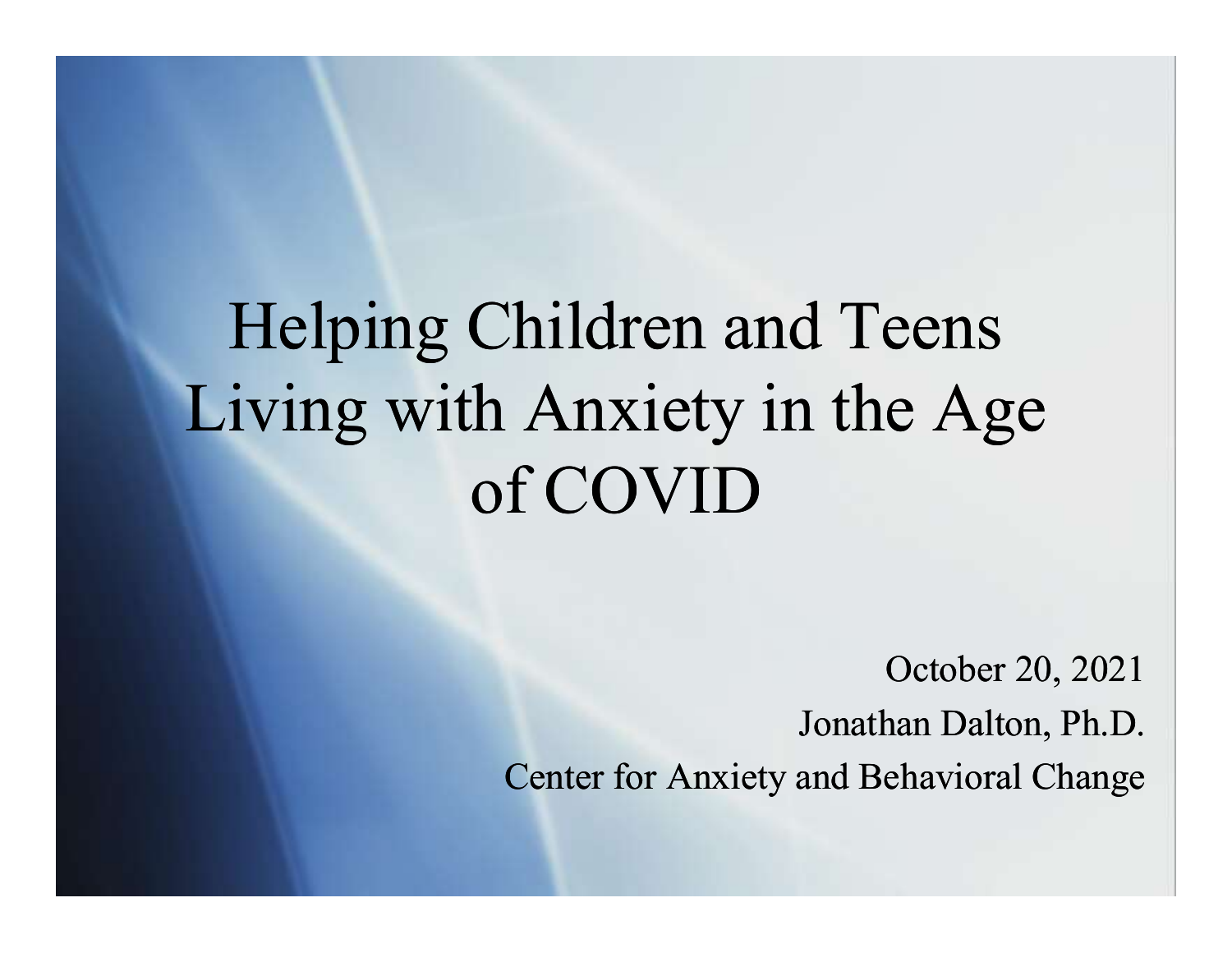# Helping Children and Teens Living with Anxiety in the Age of COVID

October 20, 2021 Jonathan Dalton, Ph.D. Center for Anxiety and Behavioral Change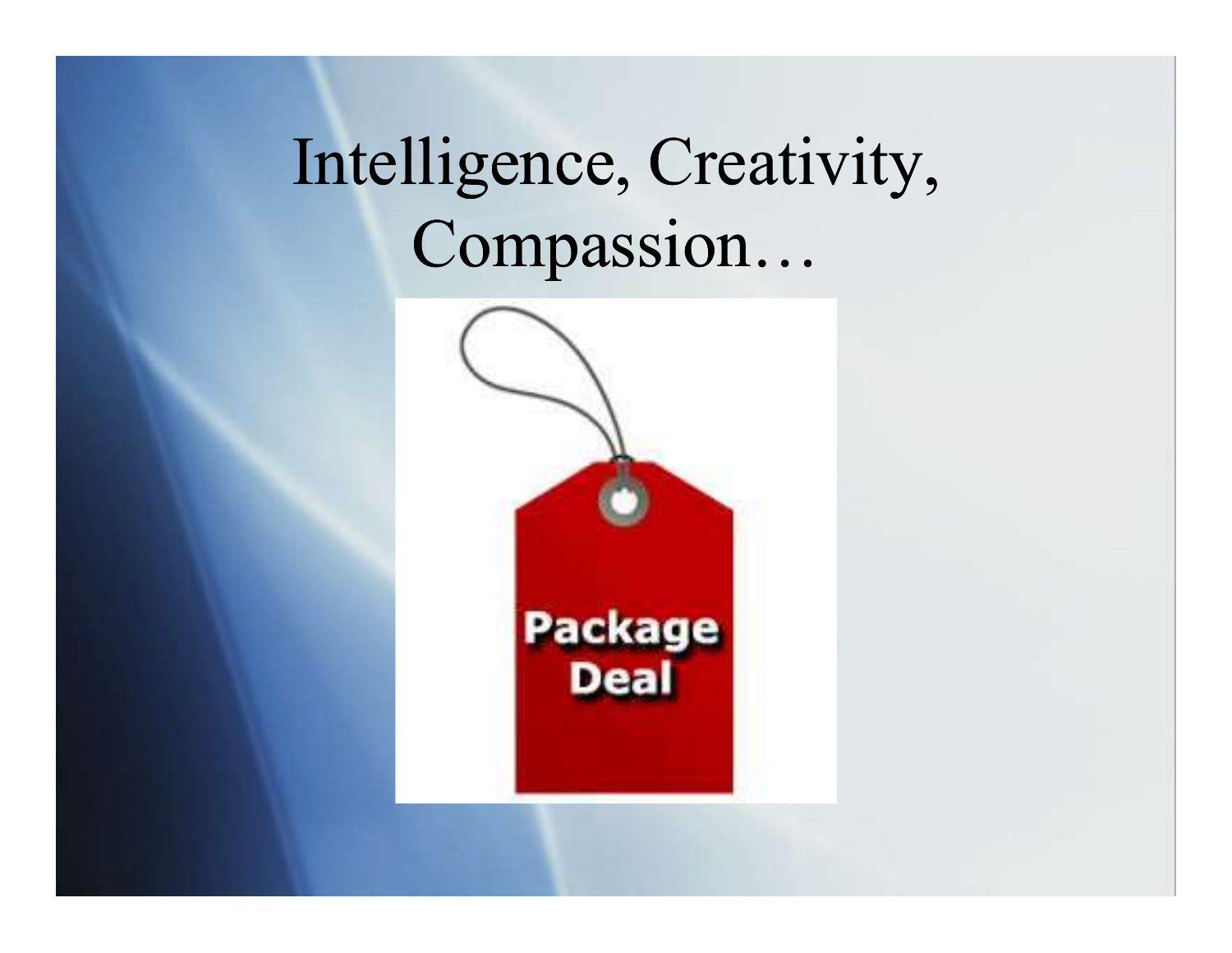# Intelligence, Creativity, Compassion…

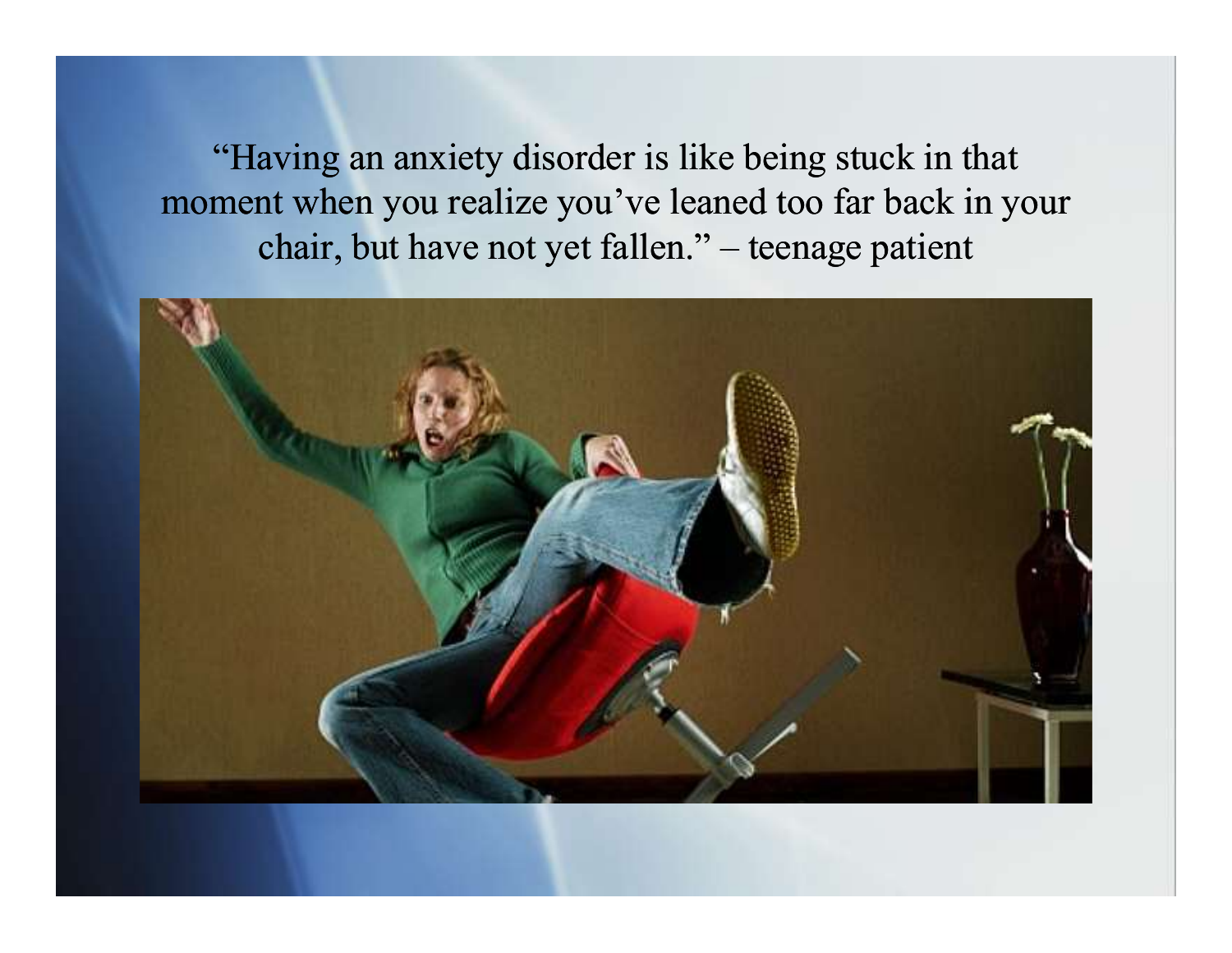"Having an anxiety disorder is like being stuck in that moment when you realize you've leaned too far back in your aving an anxiety disorder is like being stuck in that<br>nt when you realize you've leaned too far back in your<br>chair, but have not yet fallen." – teenage patient

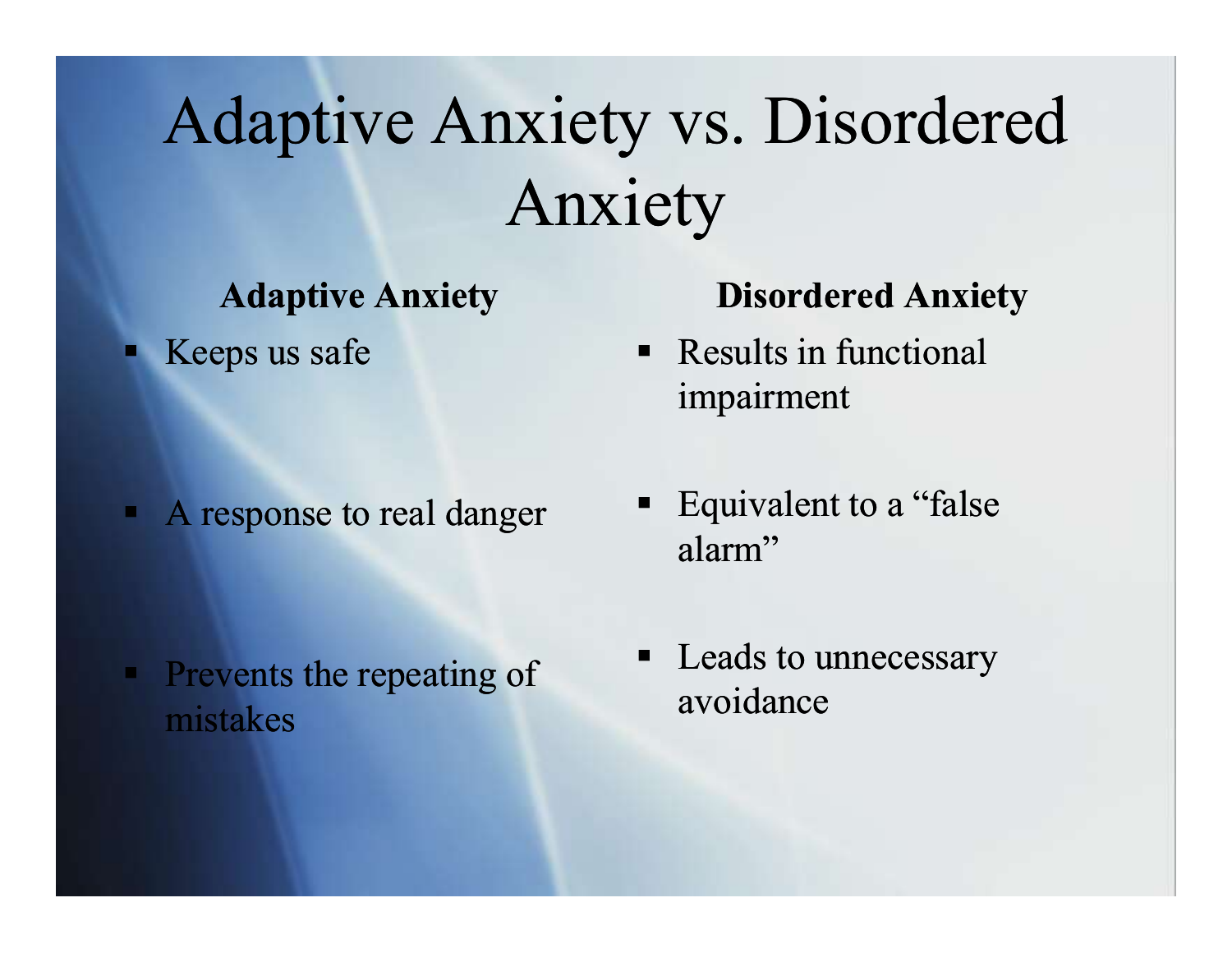# Adaptive Anxiety vs. Disordered Anxiety

#### Adaptive Anxiety

 $\blacksquare$  Keeps us safe

A response to real danger

Prevents the repeating of mistakes

#### Disordered Anxiety

- Results in functional impairment
- Equivalent to a "false" alarm"
- Leads to unnecessary avoidance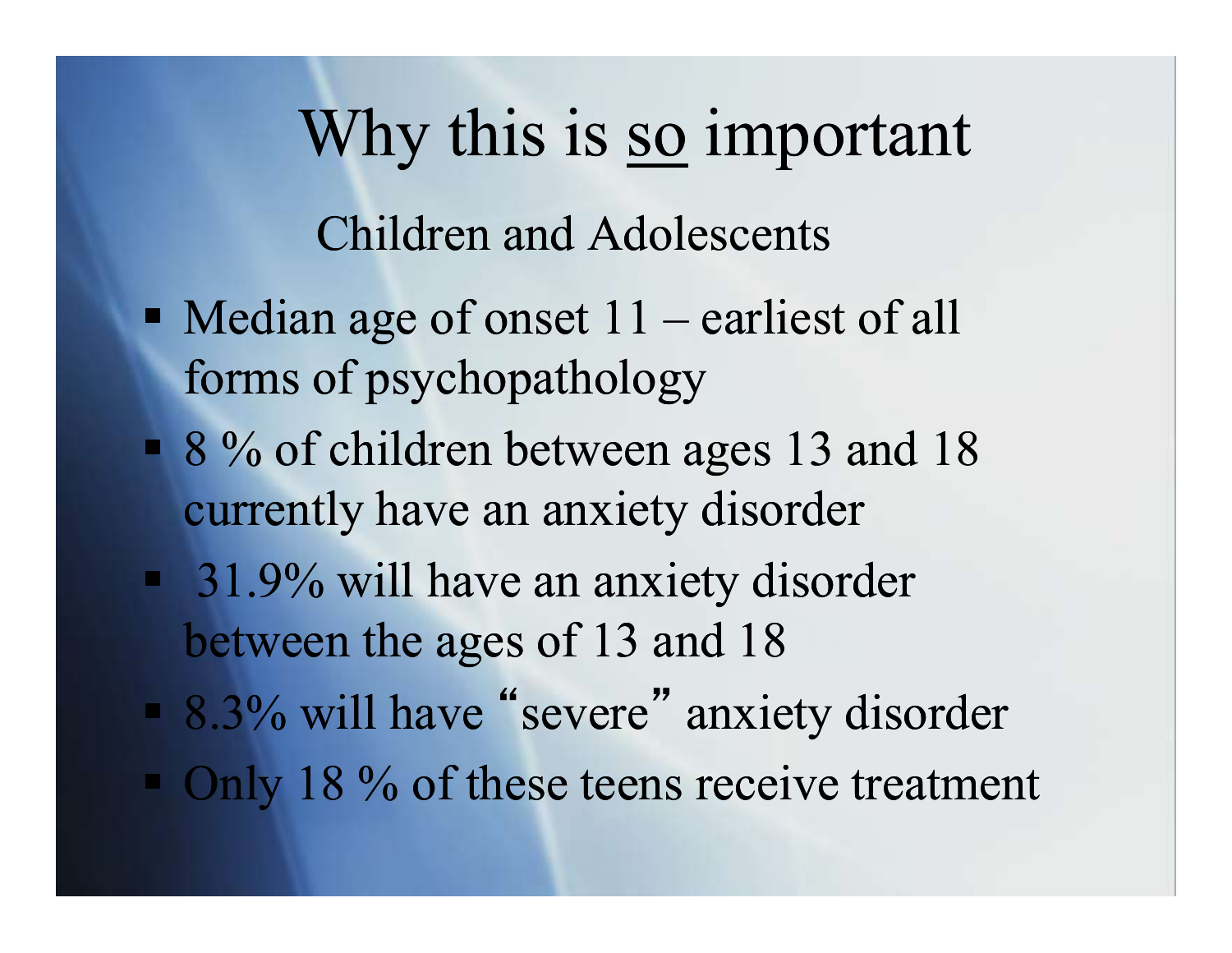Why this is <u>so</u> important<br>Children and Adolescents Why this is <u>so</u> important<br>Children and Adolescents<br>Median age of onset 11 – earliest of all<br>forms of psychopathology Children and Adolescents

- forms of psychopathology
- 8 % of children between ages 13 and 18 currently have an anxiety disorder
- **31.9% will have an anxiety disorder** between the ages of 13 and 18
- 8.3% will have " severe " anxiety disorder
- $\blacksquare$  Only 18 % of these teens receive treatment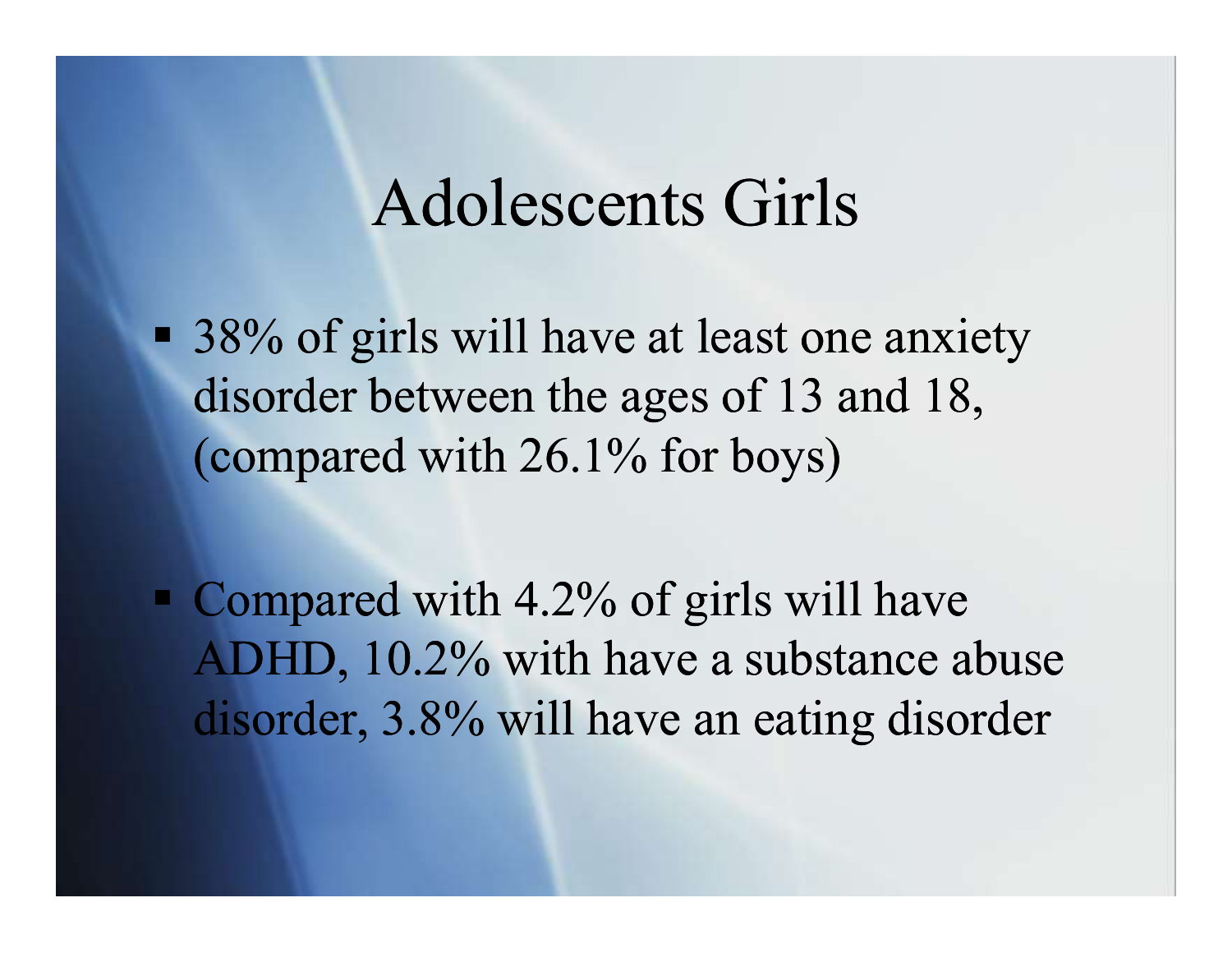#### Adolescents Girls

■ 38% of girls will have at least one anxiety disorder between the ages of 13 and 18, (compared with 26.1% for boys)

• Compared with 4.2% of girls will have ADHD, 10.2% with have a substance abuse disorder, 3.8% will have an eating disorder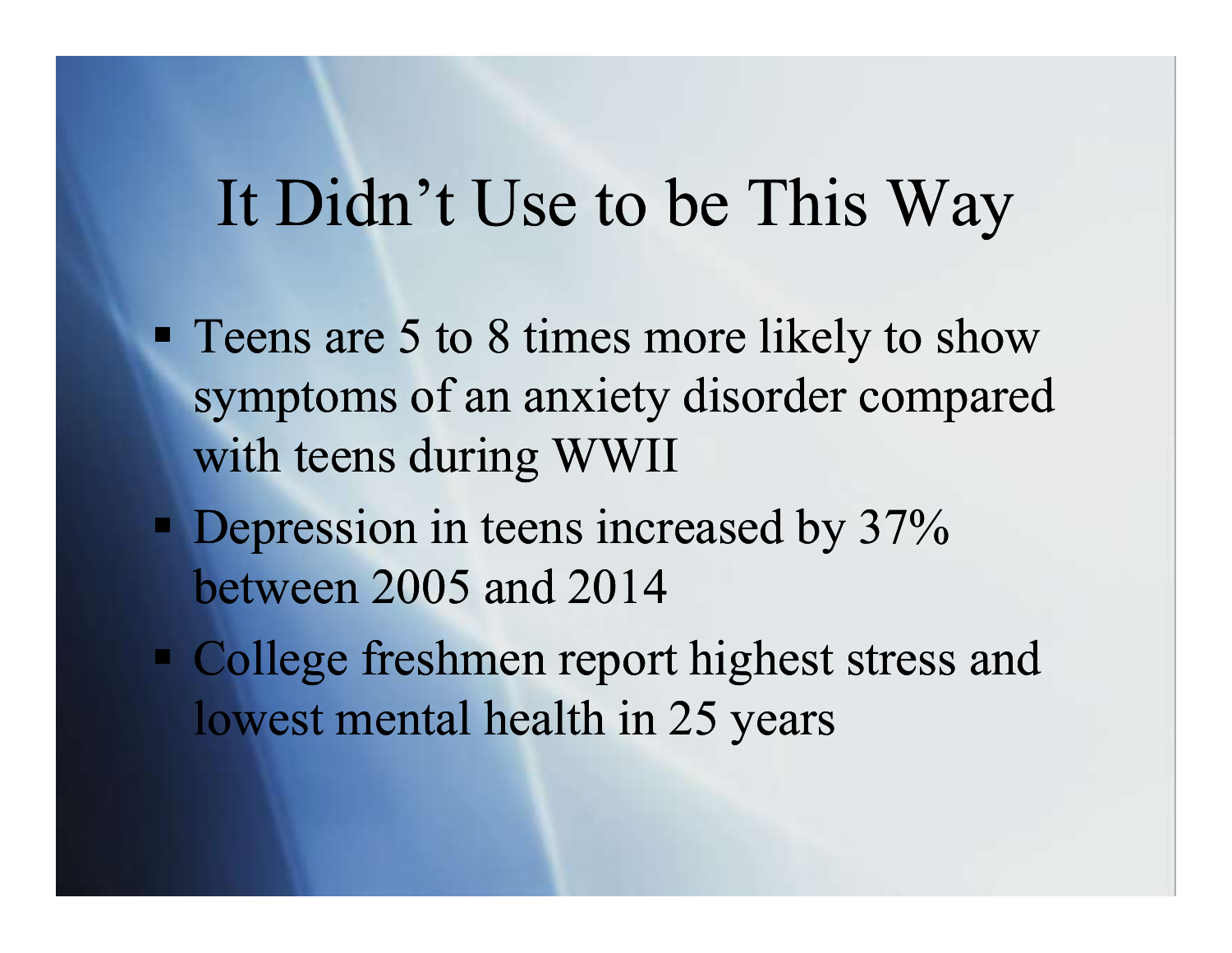#### It Didn't Use to be This Way

- **Teens are 5 to 8 times more likely to show** symptoms of an anxiety disorder compared with teens during WWII
- **Depression in teens increased by 37%** between 2005 and 2014
- College freshmen report highest stress and lowest mental health in 25 years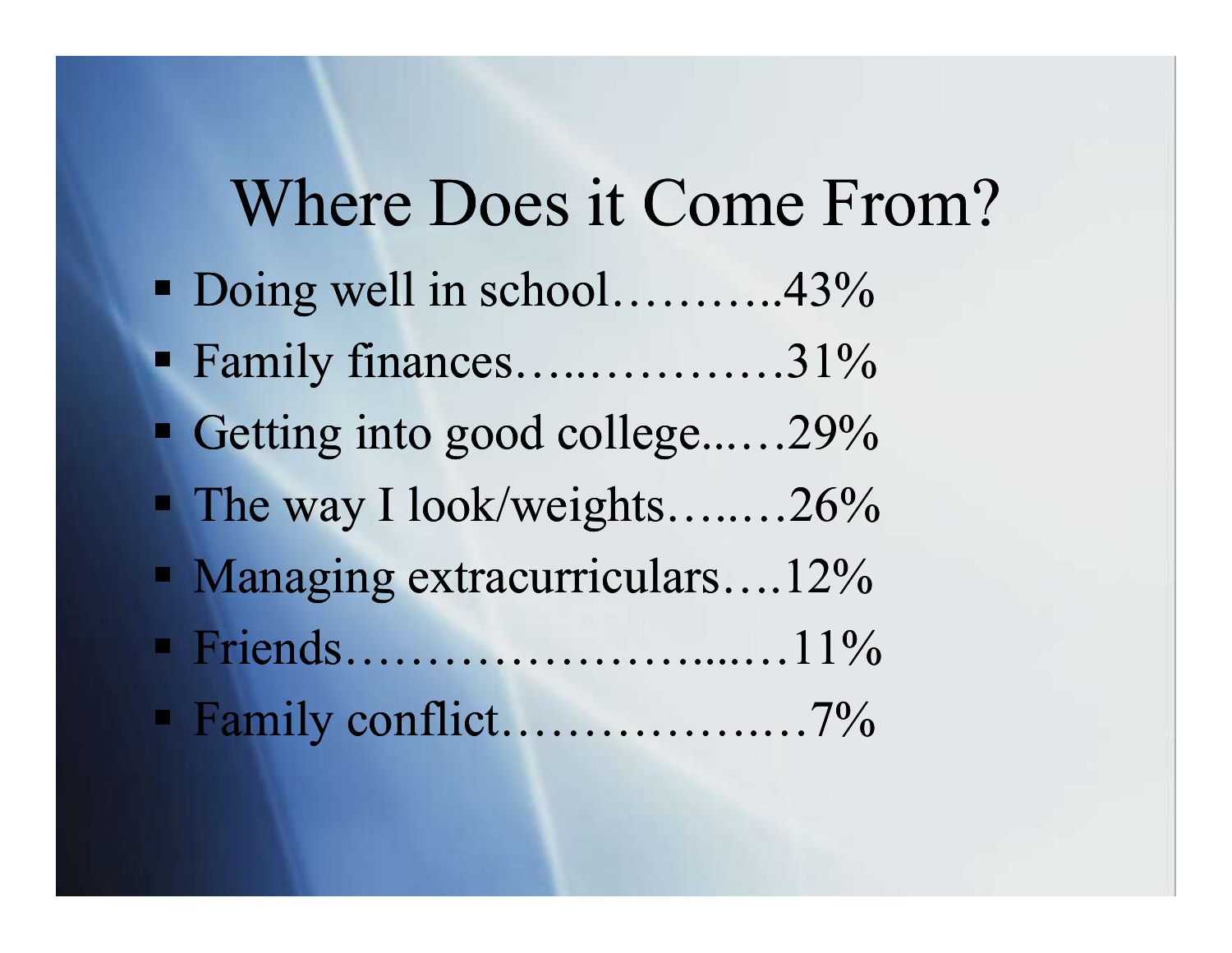#### Where Does it Come From?

- Doing well in school………..43% ■ Family finances…..............31%
- Getting into good college......29%
- $\blacksquare$  The way I look/weights........26%
- Managing extracurriculars....12%
- Friends…………………....…11%
- Family conflict…………….…7%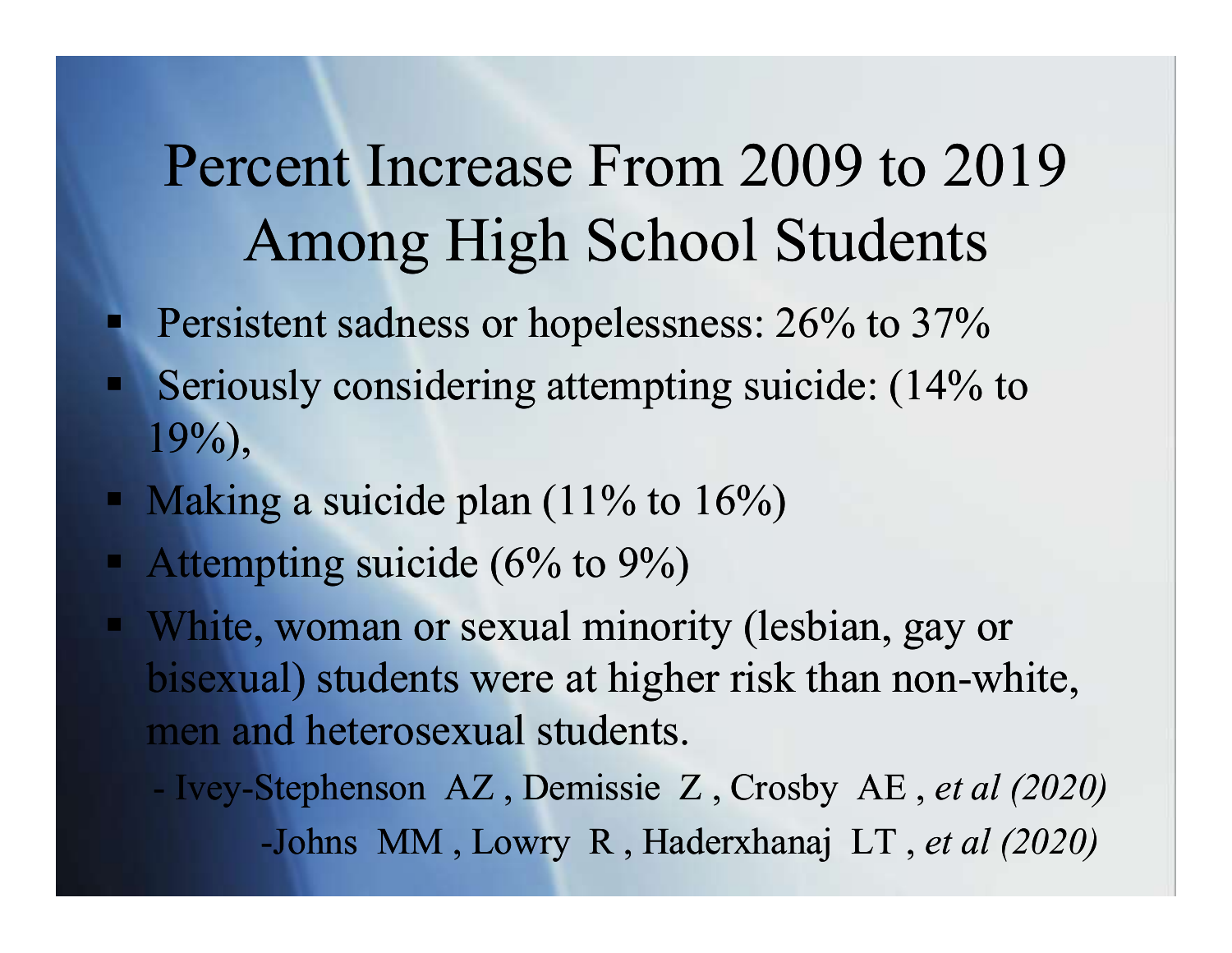## Percent Increase From 2009 to 2019 Among High School Students

- **Persistent sadness or hopelessness: 26% to 37%**
- Seriously considering attempting suicide: (14% to 19%),
- Making a suicide plan  $(11\%$  to  $16\%)$
- Attempting suicide  $(6\%$  to  $9\%)$
- White, woman or sexual minority (lesbian, gay or bisexual) students were at higher risk than non-white, men and heterosexual students. Berlously considering attempting suicide.  $(14\% 10\%)$ <br>
Making a suicide plan (11% to 16%)<br>
Attempting suicide (6% to 9%)<br>
White, woman or sexual minority (lesbian, gay or<br>
oisexual) students were at higher risk than nong a suicide plan (11% to 16%)<br>pting suicide (6% to 9%)<br>woman or sexual minority (lesbian, gay or<br>al) students were at higher risk than non-white,<br>nd heterosexual students.<br>Stephenson AZ, Demissie Z, Crosby AE, *et al (2020*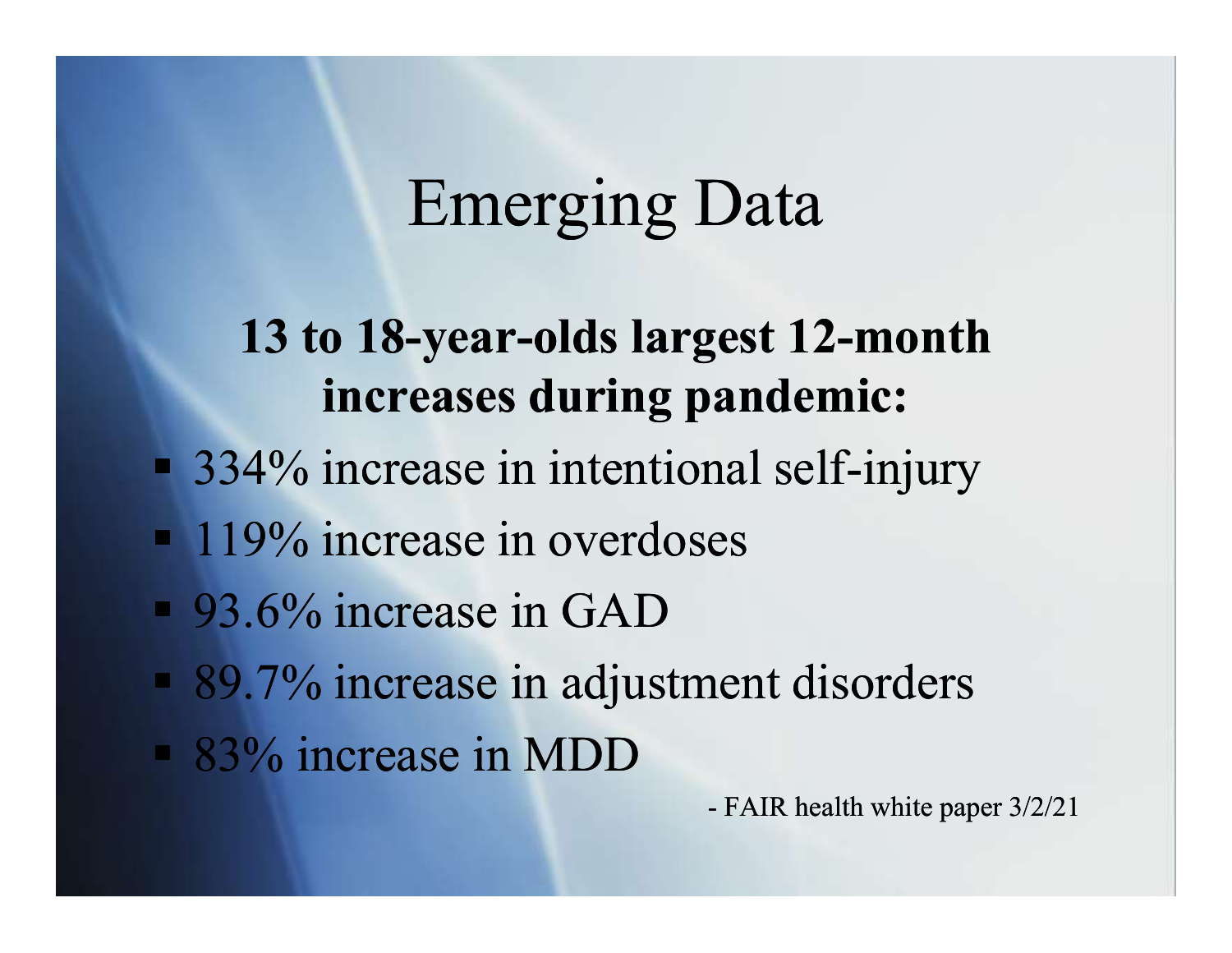### Emerging Data

#### 13 to 18-year-olds largest 12-month increases during pandemic:

- 334% increase in intentional self-injury mal self-injury<br>es<br>nent disorders<br>- FAIR health white paper 3/2/21
- **119%** increase in overdoses
- 93.6% increase in GAD
- 89.7% increase in adjustment disorders
- 83% increase in MDD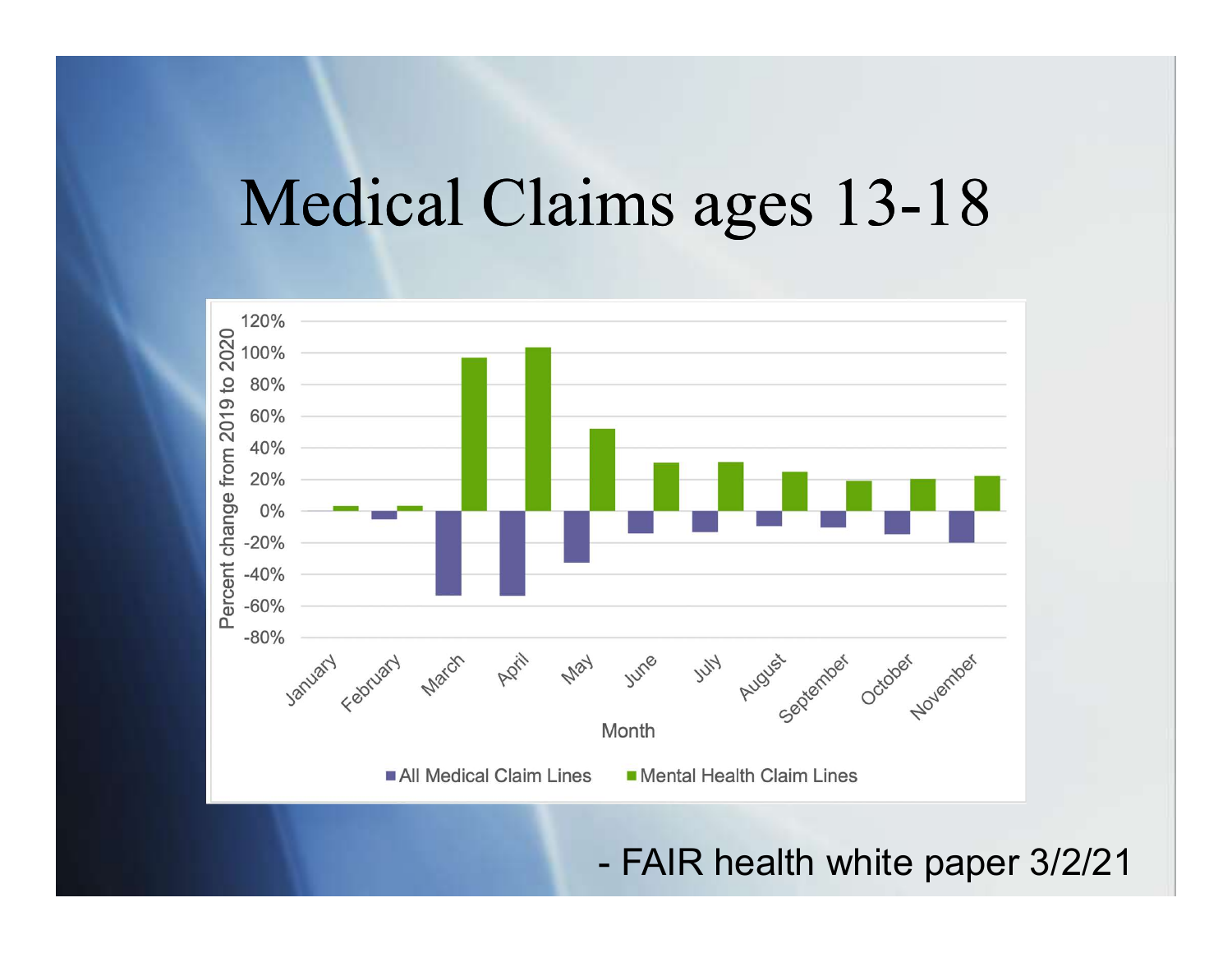### Medical Claims ages 13-18

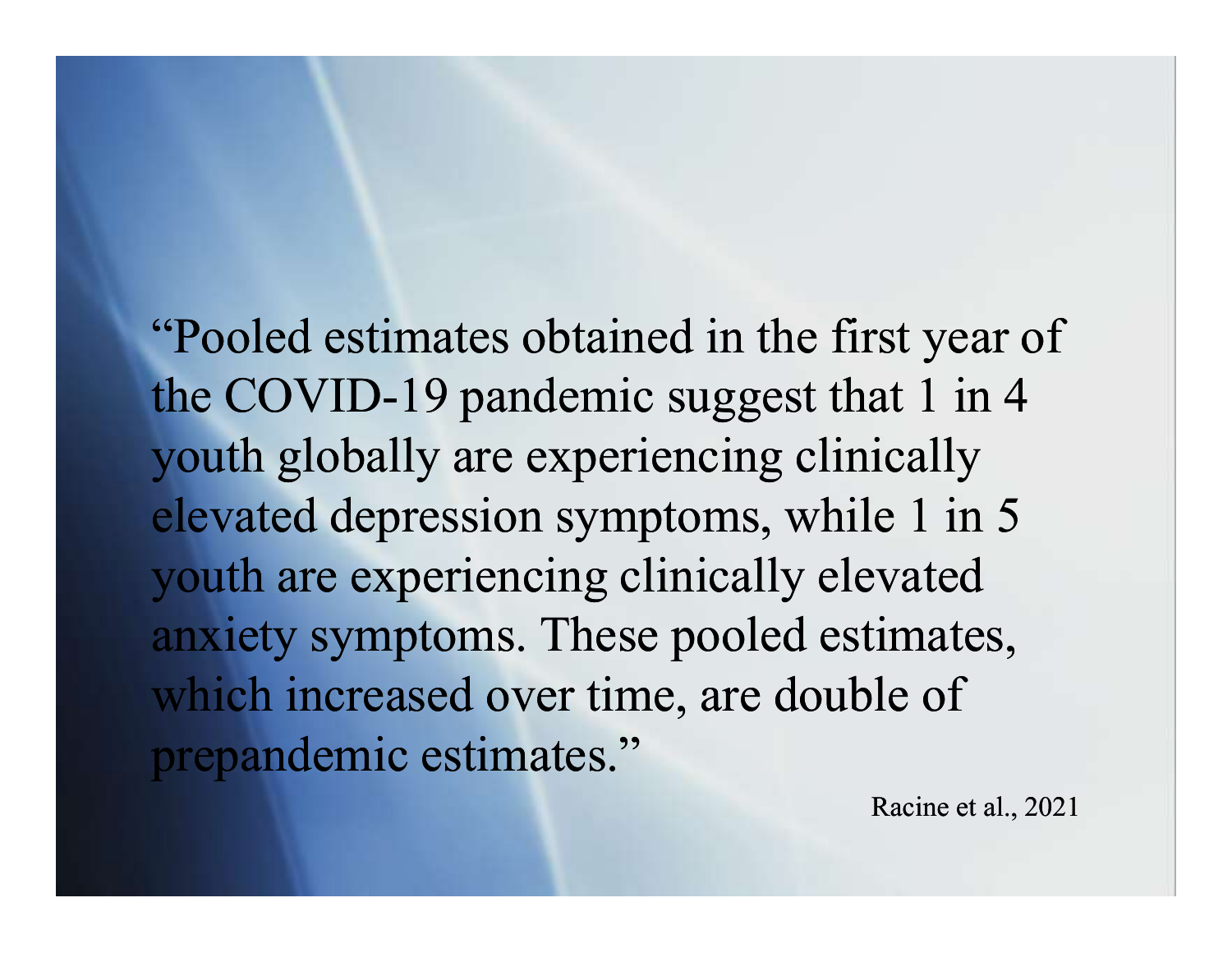"Pooled estimates obtained in the first year of the COVID-19 pandemic suggest that 1 in 4 youth globally are experiencing clinically elevated depression symptoms, while 1 in 5 youth are experiencing clinically elevated anxiety symptoms. These pooled estimates, which increased over time, are double of the COVID-19 pandemic suggest that 1<br>youth globally are experiencing clinica<br>elevated depression symptoms, while 1<br>youth are experiencing clinically elevat<br>anxiety symptoms. These pooled estime<br>which increased over time, a

Racine et al., 2021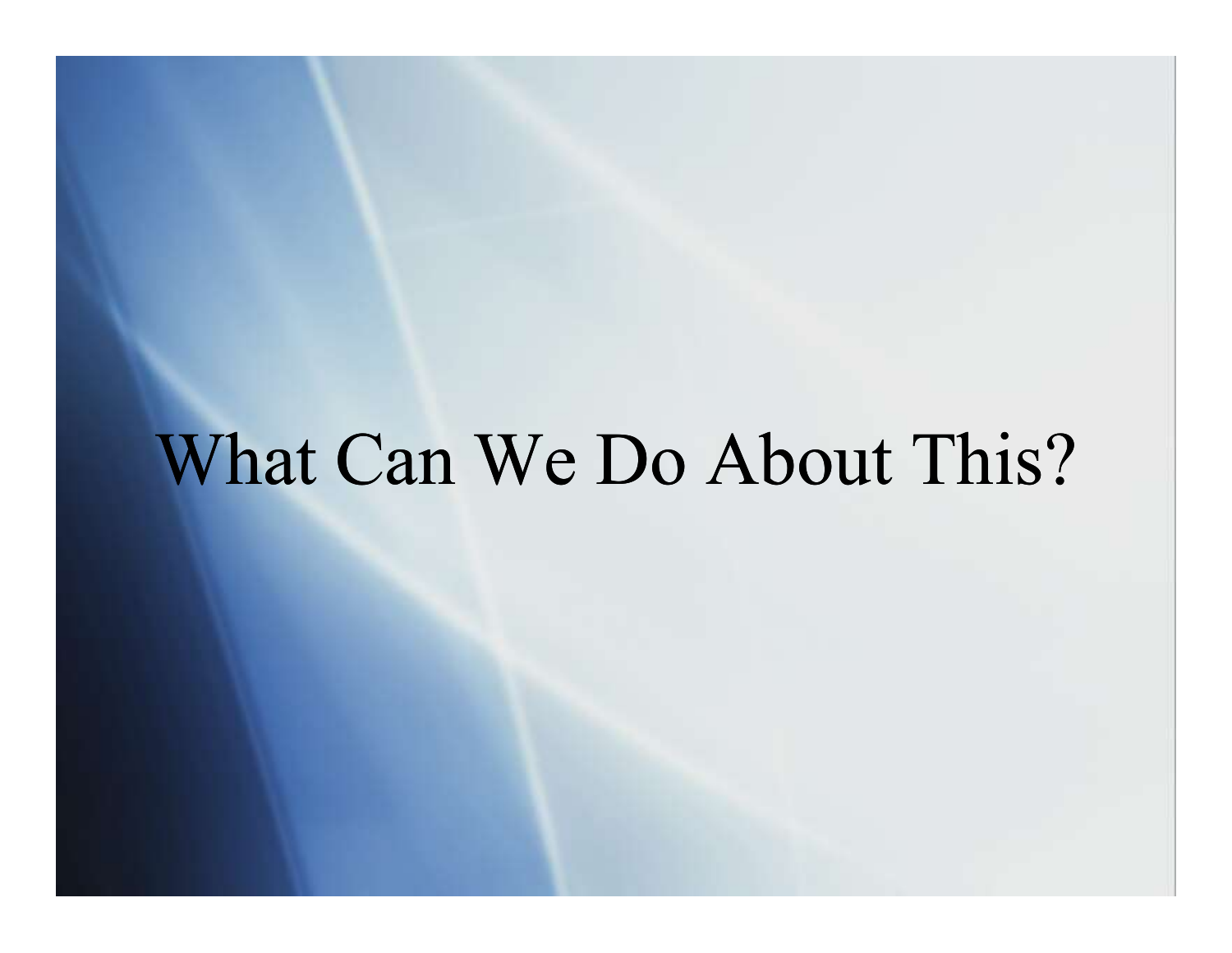# What Can We Do About This?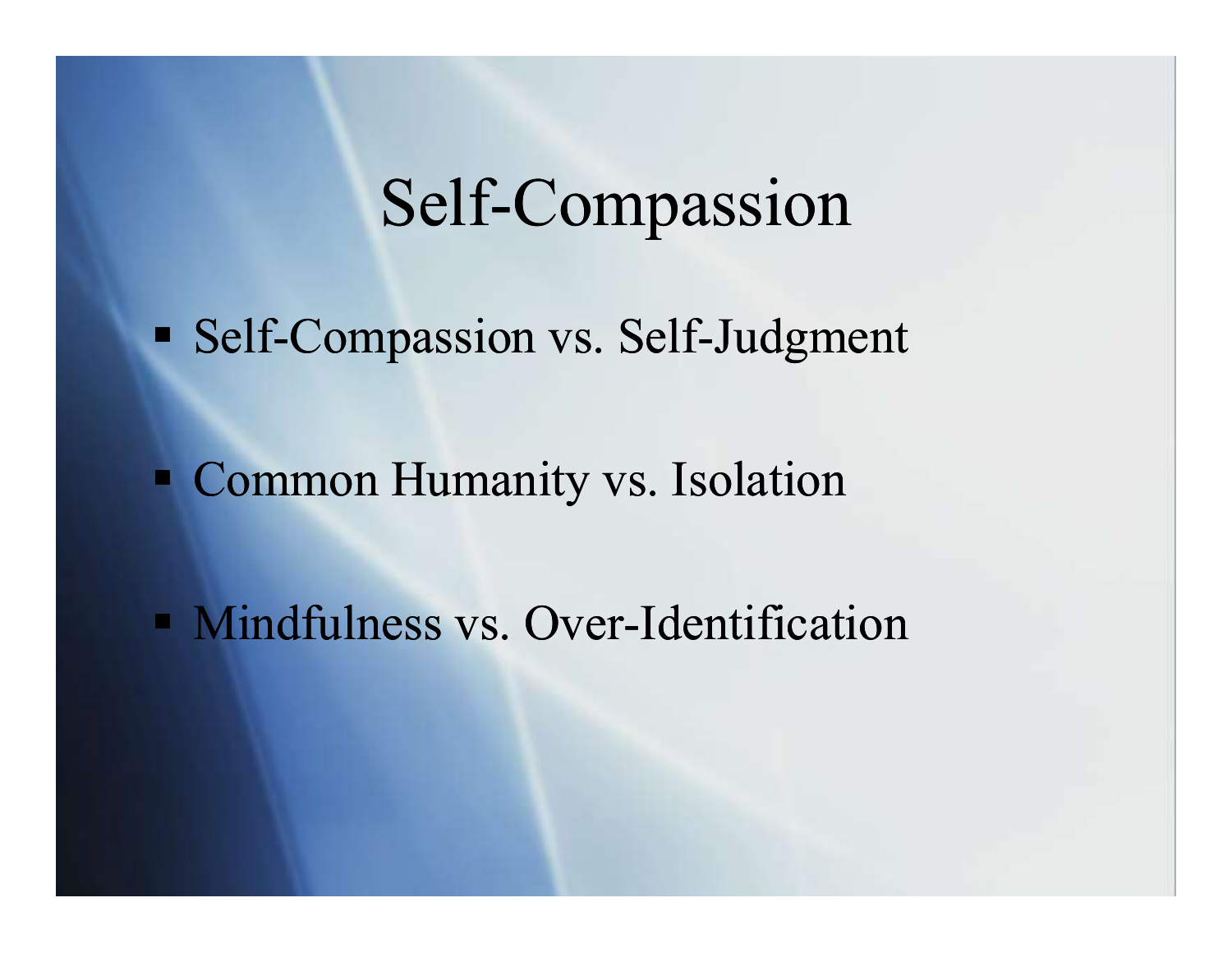#### Self-Compassion

**Self-Compassion vs. Self-Judgment** 

**Common Humanity vs. Isolation** 

**Mindfulness vs. Over-Identification**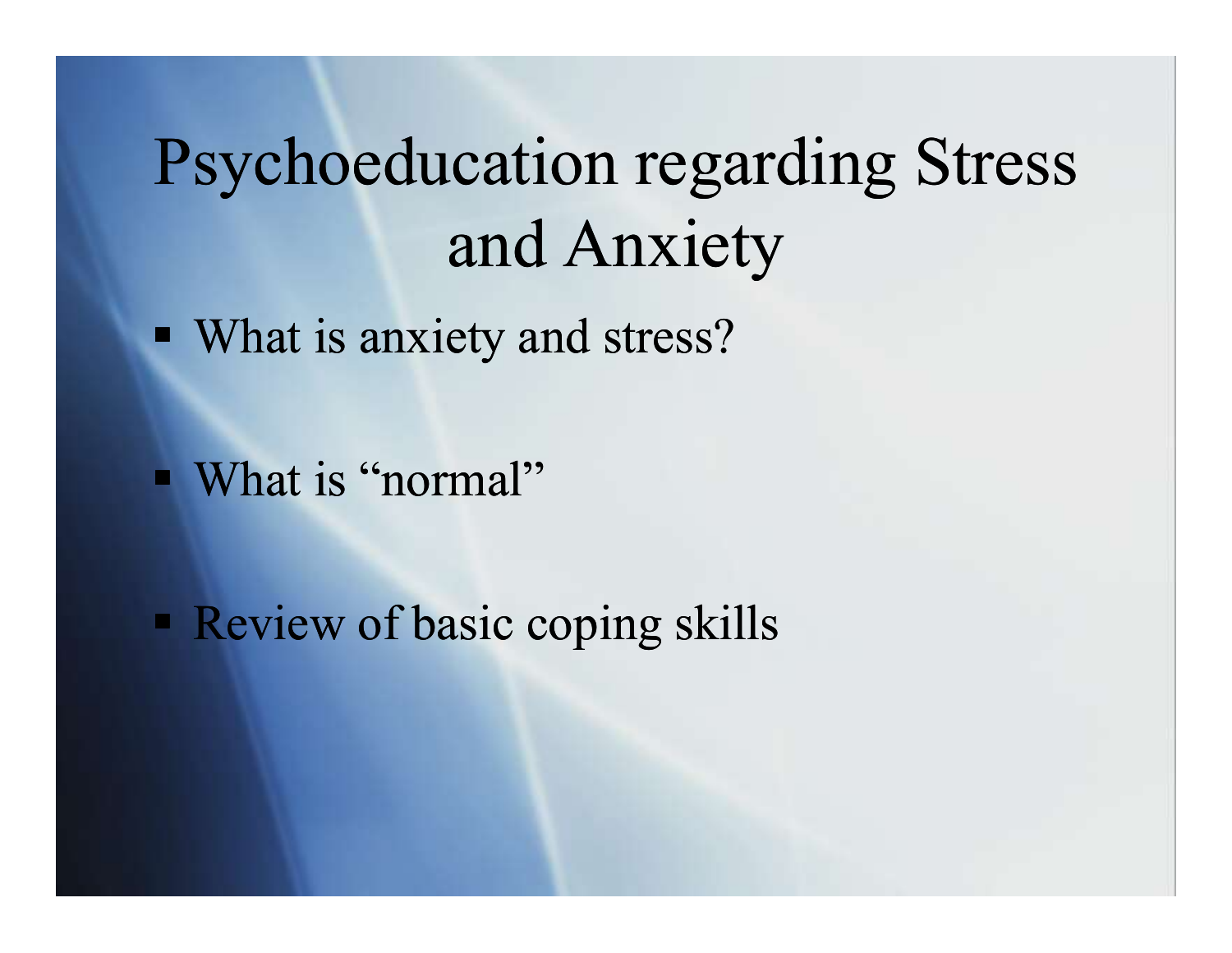# Psychoeducation regarding Stress and Anxiety

• What is anxiety and stress?

■ What is "normal"

**Review of basic coping skills**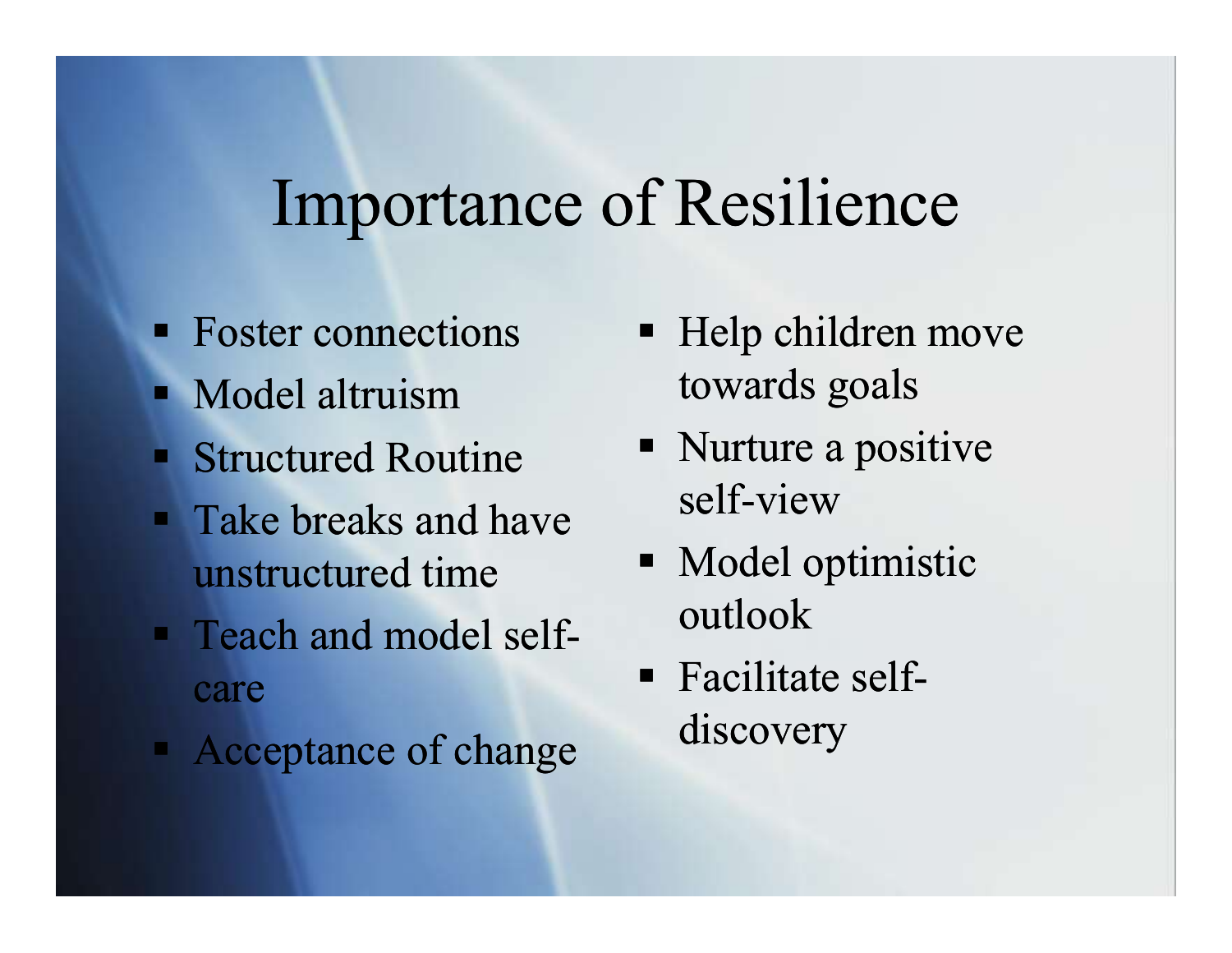#### Importance of Resilience

- Foster connections
- **Nodel altruism**
- Structured Routine
- **Take breaks and have** unstructured time
- **Figure 1** Teach and model selfcare
- Acceptance of change
- Help children move towards goals
- Nurture a positive self-view
- Model optimistic outlook
- Facilitate selfdiscovery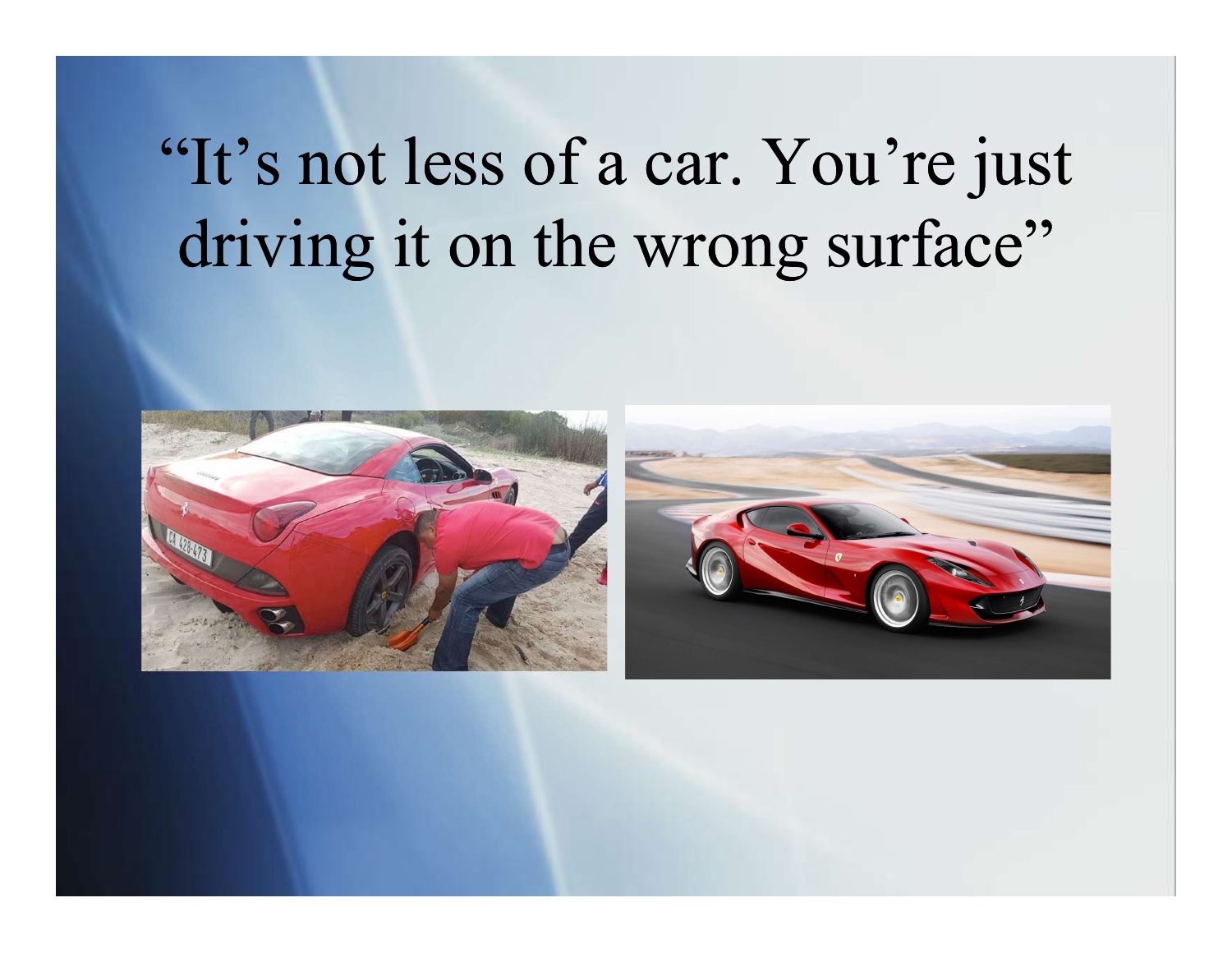# "It's not less of a car. You're just driving it on the wrong surface"



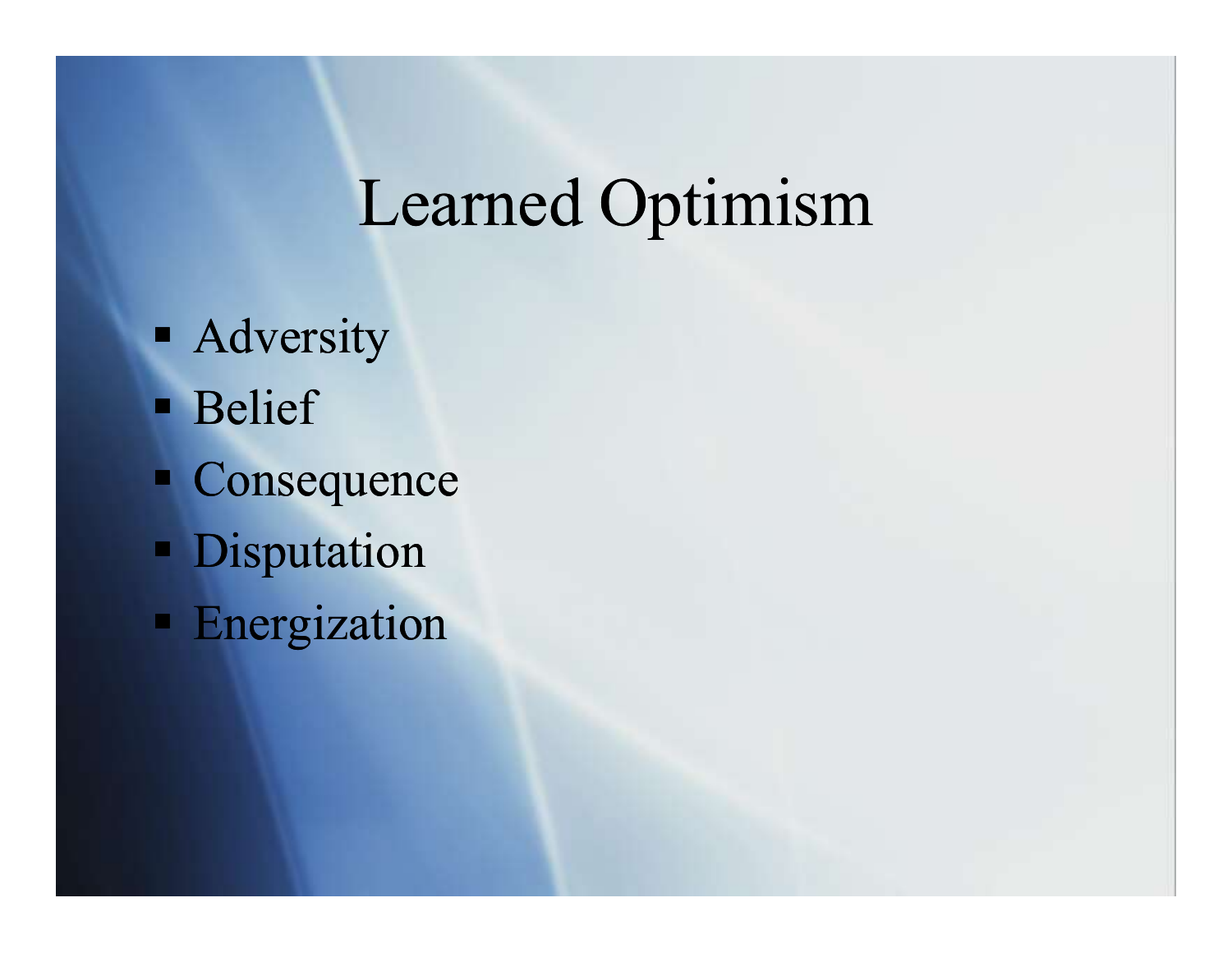# Learned Optimism

- **-** Adversity
- **Belief**
- Consequence
- **Disputation**
- **Energization**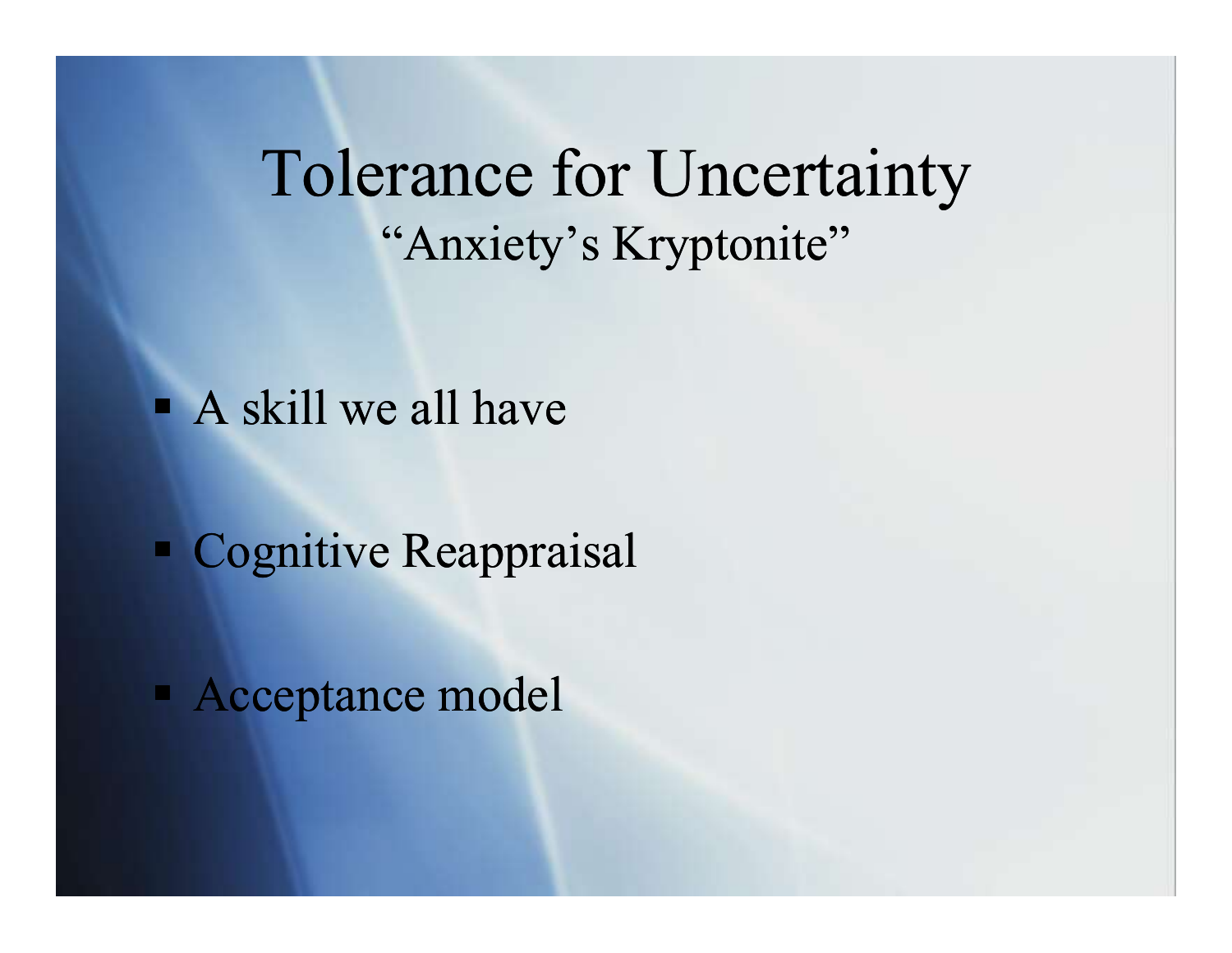#### Tolerance for Uncertainty "Anxiety's Kryptonite"

A skill we all have

Cognitive Reappraisal

Acceptance model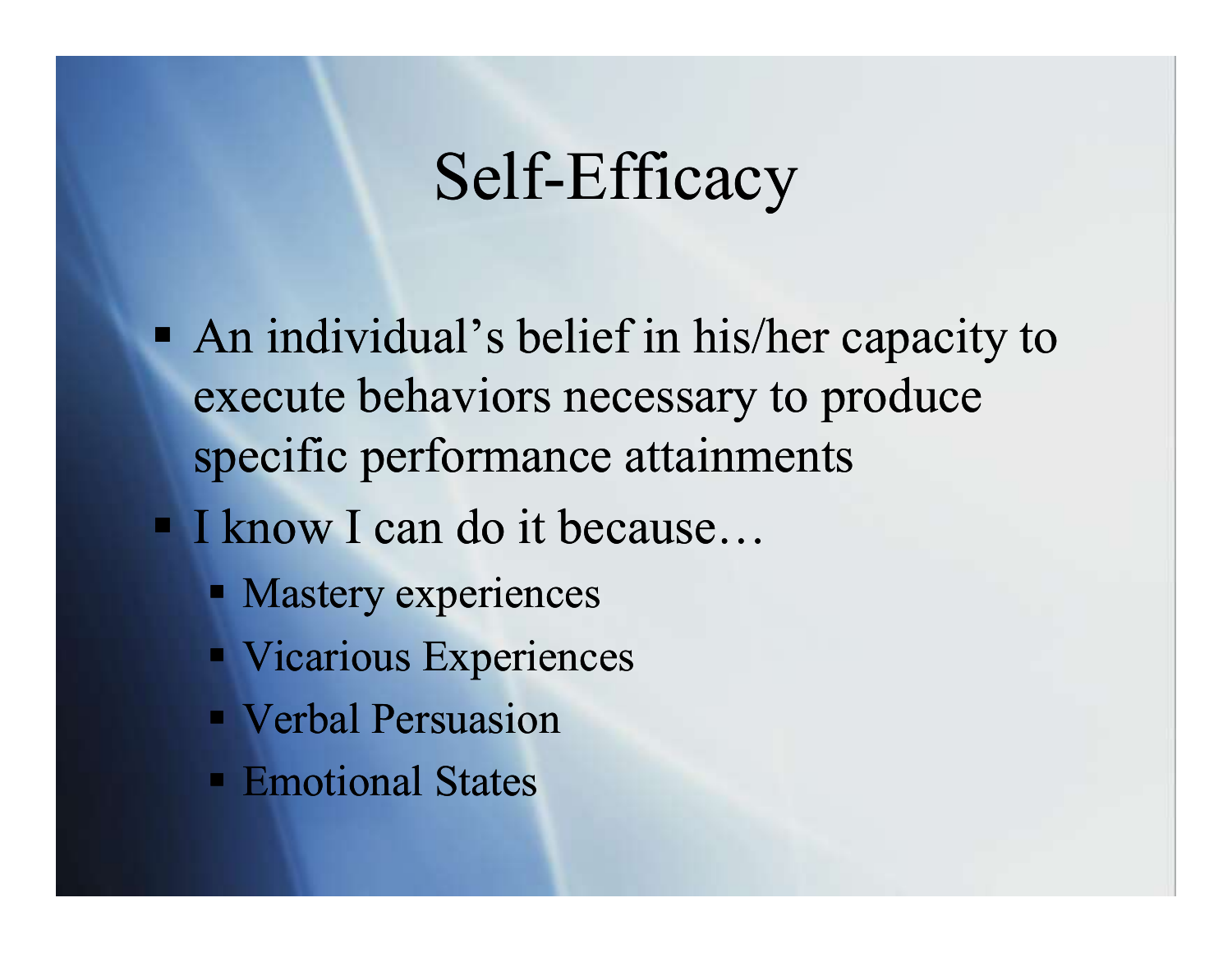#### Self-Efficacy

- An individual's belief in his/her capacity to execute behaviors necessary to produce specific performance attainments
- I know I can do it because...
	- **Mastery experiences**
	- **Vicarious Experiences**
	- **Verbal Persuasion**
	- Emotional States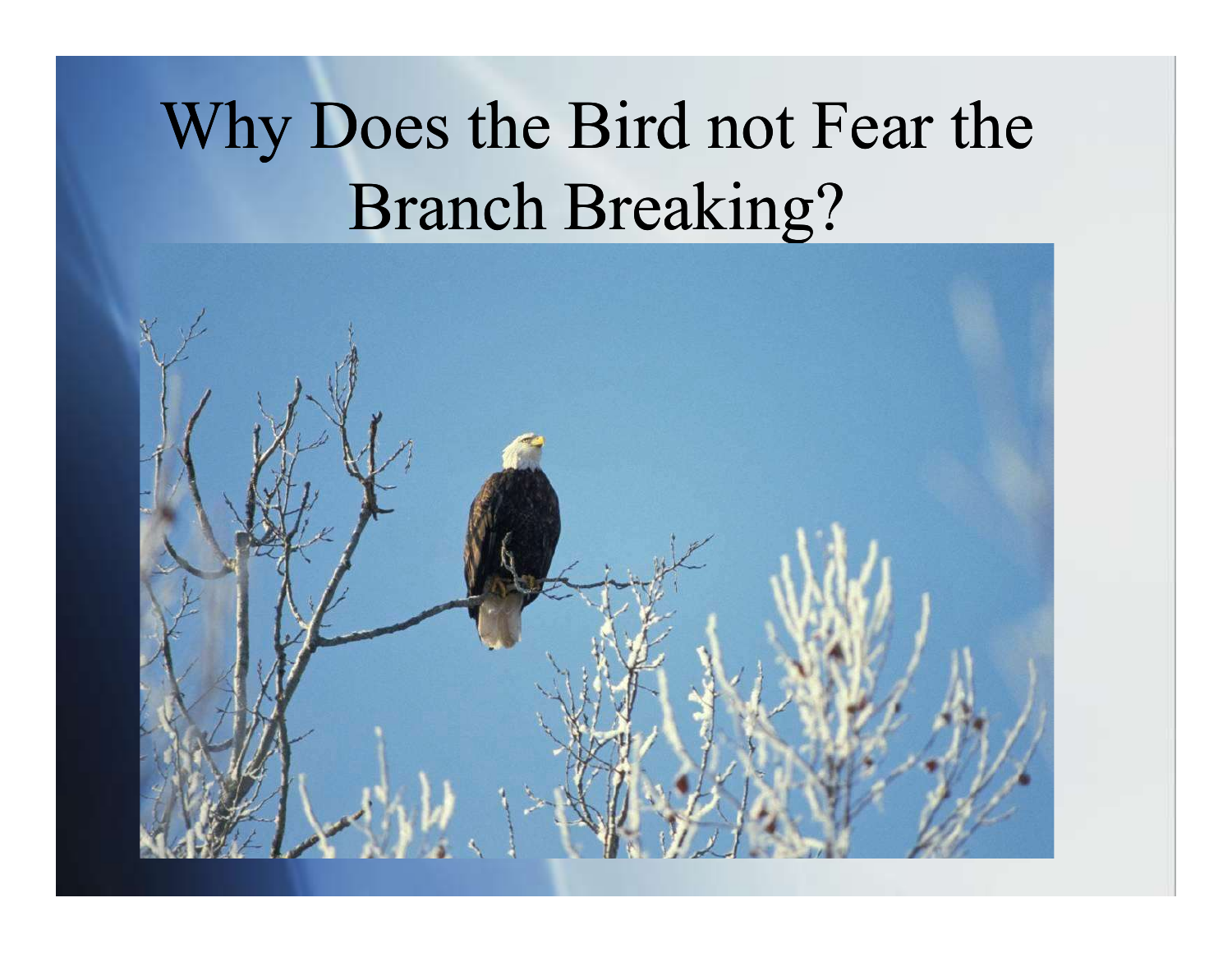# Why Does the Bird not Fear the Branch Breaking?

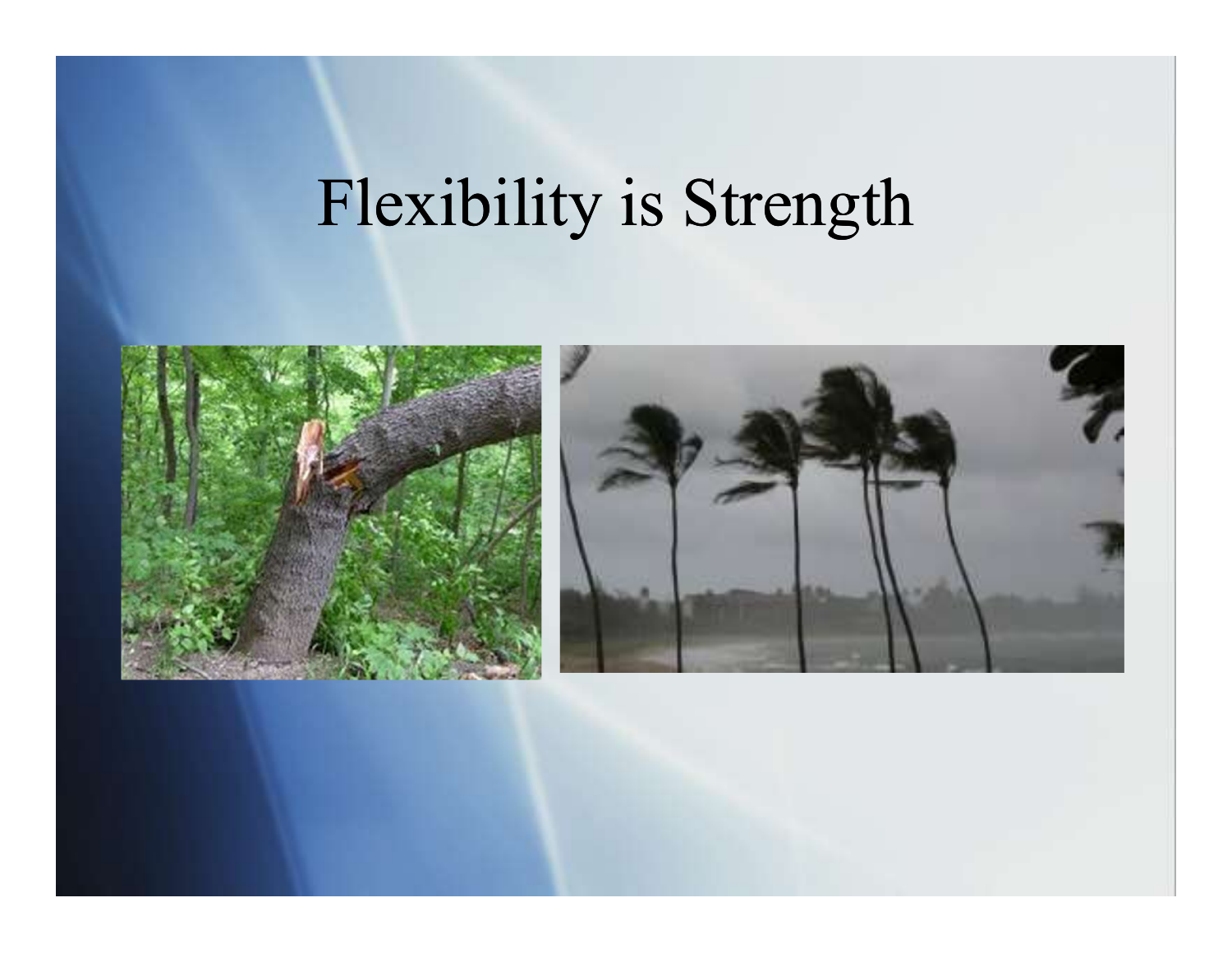# Flexibility is Strength